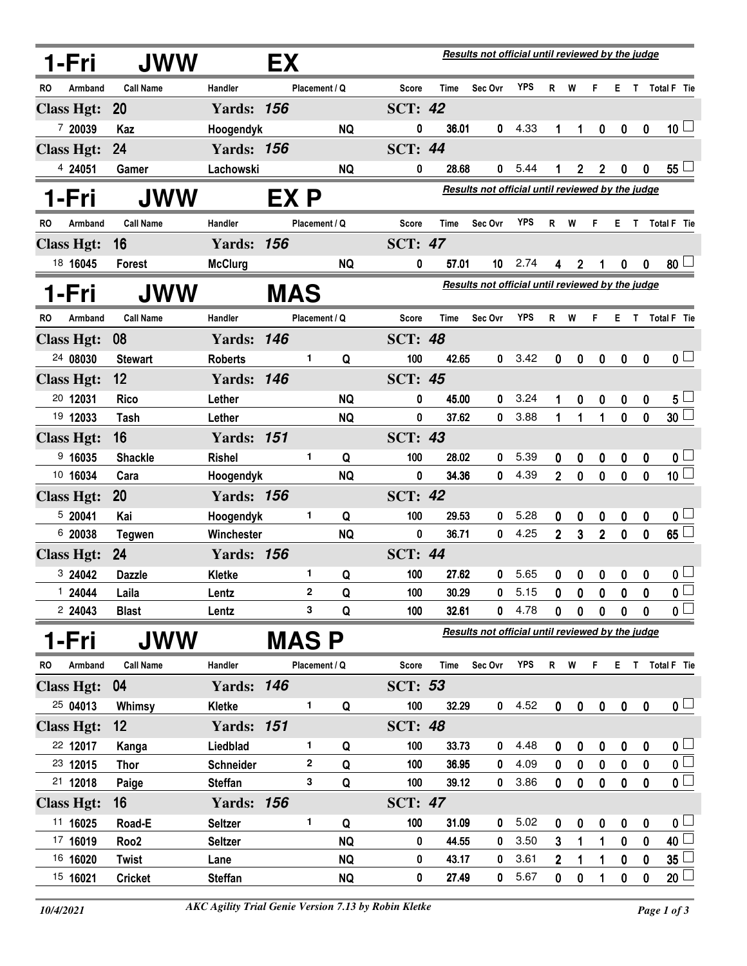|     | 1-Fri             | JWW              |                   | Results not official until reviewed by the judge<br>EX |               |           |                |                                                  |                                                  |            |                |              |                  |                  |              |                         |
|-----|-------------------|------------------|-------------------|--------------------------------------------------------|---------------|-----------|----------------|--------------------------------------------------|--------------------------------------------------|------------|----------------|--------------|------------------|------------------|--------------|-------------------------|
| RO  | Armband           | <b>Call Name</b> | Handler           |                                                        | Placement / Q |           | <b>Score</b>   | Time                                             | Sec Ovr                                          | <b>YPS</b> | R.             | W            | F                |                  |              | E T Total F Tie         |
|     | <b>Class Hgt:</b> | 20               | <b>Yards: 156</b> |                                                        |               |           | <b>SCT: 42</b> |                                                  |                                                  |            |                |              |                  |                  |              |                         |
|     | 7 20039           | Kaz              | Hoogendyk         |                                                        |               | <b>NQ</b> | 0              | 36.01                                            | 0                                                | 4.33       | 1              | 1            | $\boldsymbol{0}$ | $\boldsymbol{0}$ | $\mathbf 0$  | $10\sqcup$              |
|     | <b>Class Hgt:</b> | 24               | <b>Yards: 156</b> |                                                        |               |           | <b>SCT: 44</b> |                                                  |                                                  |            |                |              |                  |                  |              |                         |
|     | 4 24051           | Gamer            | Lachowski         |                                                        |               | <b>NQ</b> | 0              | 28.68                                            | 0                                                | 5.44       | 1              | $\mathbf{2}$ | $\mathbf{2}$     | $\bf{0}$         | 0            | $55^{\perp}$            |
|     | 1-Fri             | JWW              |                   | EX P                                                   |               |           |                |                                                  | Results not official until reviewed by the judge |            |                |              |                  |                  |              |                         |
| RO. | Armband           | <b>Call Name</b> | Handler           |                                                        | Placement / Q |           | Score          | <b>Time</b>                                      | Sec Ovr                                          | YPS        | R              | W            | F                | E.               | T.           | Total F Tie             |
|     | <b>Class Hgt:</b> | 16               | <b>Yards: 156</b> |                                                        |               |           | <b>SCT: 47</b> |                                                  |                                                  |            |                |              |                  |                  |              |                         |
|     | 18 16045          | <b>Forest</b>    | <b>McClurg</b>    |                                                        |               | <b>NQ</b> | 0              | 57.01                                            | 10                                               | 2.74       | 4              | 2            | 1                | 0                | 0            | 80 <sup>1</sup>         |
|     | 1-Fri             | <b>JWW</b>       |                   | MAS                                                    |               |           |                |                                                  | Results not official until reviewed by the judge |            |                |              |                  |                  |              |                         |
| RO  | Armband           | <b>Call Name</b> | Handler           |                                                        | Placement / Q |           | Score          | Time                                             | Sec Ovr                                          | YPS        | R              | W            | F                |                  |              | E T Total F Tie         |
|     | <b>Class Hgt:</b> | 08               | <b>Yards: 146</b> |                                                        |               |           | <b>SCT: 48</b> |                                                  |                                                  |            |                |              |                  |                  |              |                         |
|     | 24 08030          | <b>Stewart</b>   | <b>Roberts</b>    |                                                        | 1             | Q         | 100            | 42.65                                            | 0                                                | 3.42       | 0              | 0            | $\mathbf 0$      | 0                | 0            | 0 <sub>0</sub>          |
|     | <b>Class Hgt:</b> | 12               | <b>Yards: 146</b> |                                                        |               |           | <b>SCT: 45</b> |                                                  |                                                  |            |                |              |                  |                  |              |                         |
|     | 20 12031          | <b>Rico</b>      | Lether            |                                                        |               | <b>NQ</b> | 0              | 45.00                                            | 0                                                | 3.24       | 1              | 0            | 0                | 0                | 0            | $5^{\perp}$             |
|     | 19 12033          | Tash             | Lether            |                                                        |               | <b>NQ</b> | 0              | 37.62                                            | 0                                                | 3.88       | 1              | 1            | 1                | $\mathbf{0}$     | $\mathbf{0}$ | 30 <sup>2</sup>         |
|     | <b>Class Hgt:</b> | 16               | <b>Yards: 151</b> |                                                        |               |           | <b>SCT: 43</b> |                                                  |                                                  |            |                |              |                  |                  |              |                         |
|     | 9,16035           | <b>Shackle</b>   | <b>Rishel</b>     |                                                        | 1             | Q         | 100            | 28.02                                            | 0                                                | 5.39       | 0              | 0            | 0                | 0                | 0            | 0 <sub>0</sub>          |
|     | 10 16034          | Cara             | Hoogendyk         |                                                        |               | <b>NQ</b> | 0              | 34.36                                            | $\mathbf{0}$                                     | 4.39       | $\overline{2}$ | $\mathbf{0}$ | $\mathbf 0$      | $\mathbf{0}$     | $\mathbf 0$  | 10 $\Box$               |
|     | <b>Class Hgt:</b> | 20               | <b>Yards: 156</b> |                                                        |               |           | <b>SCT: 42</b> |                                                  |                                                  |            |                |              |                  |                  |              |                         |
|     | 5 20041           | Kai              | Hoogendyk         |                                                        | 1             | Q         | 100            | 29.53                                            | 0                                                | 5.28       | 0              | 0            | 0                | 0                | 0            | 0 <sub>0</sub>          |
|     | 6 20038           | <b>Tegwen</b>    | Winchester        |                                                        |               | <b>NQ</b> | 0              | 36.71                                            | 0                                                | 4.25       | $\overline{2}$ | 3            | $\overline{2}$   | $\mathbf 0$      | $\mathbf{0}$ | $65\perp$               |
|     | <b>Class Hgt:</b> | 24               | <b>Yards: 156</b> |                                                        |               |           | <b>SCT: 44</b> |                                                  |                                                  |            |                |              |                  |                  |              |                         |
|     | 3 24042           | <b>Dazzle</b>    | <b>Kletke</b>     |                                                        | 1             | Q         | 100            | 27.62                                            | 0                                                | 5.65       | 0              | 0            | $\mathbf 0$      | 0                | 0            | 0 <sub>1</sub>          |
|     | 1 24044           | Laila            | Lentz             |                                                        | 2             | Q         | 100            | 30.29                                            | 0                                                | 5.15       | $\mathbf 0$    | $\mathbf{0}$ | $\mathbf{0}$     | $\pmb{0}$        | $\pmb{0}$    | $\overline{\mathbf{0}}$ |
|     | 2 24043           | <b>Blast</b>     | Lentz             |                                                        | 3             | Q         | 100            | 32.61                                            | 0                                                | 4.78       | 0              | 0            | $\mathbf 0$      | $\mathbf{0}$     | $\mathbf 0$  | $\overline{\mathbf{0}}$ |
|     | 1-Fri             | <b>JWW</b>       |                   | MAS P                                                  |               |           |                | Results not official until reviewed by the judge |                                                  |            |                |              |                  |                  |              |                         |
| RO  | Armband           | <b>Call Name</b> | Handler           |                                                        | Placement / Q |           | <b>Score</b>   | Time                                             | Sec Ovr                                          | <b>YPS</b> |                | R W          | F                |                  |              | E T Total F Tie         |
|     | <b>Class Hgt:</b> | 04               | <b>Yards: 146</b> |                                                        |               |           | <b>SCT: 53</b> |                                                  |                                                  |            |                |              |                  |                  |              |                         |
|     | 25 04013          | Whimsy           | Kletke            |                                                        | 1             | Q         | 100            | 32.29                                            | 0                                                | 4.52       | $\mathbf 0$    | $\pmb{0}$    | $\pmb{0}$        | $\pmb{0}$        | $\mathbf 0$  | $\mathbf{0}$ $\Box$     |
|     | <b>Class Hgt:</b> | 12               | <b>Yards: 151</b> |                                                        |               |           | <b>SCT: 48</b> |                                                  |                                                  |            |                |              |                  |                  |              |                         |
|     | 22 12017          | Kanga            | Liedblad          |                                                        | 1             | Q         | 100            | 33.73                                            | 0                                                | 4.48       | 0              | 0            | 0                | $\boldsymbol{0}$ | 0            | 0 <sub>1</sub>          |
|     | 23 12015          | <b>Thor</b>      | Schneider         |                                                        | $\mathbf{2}$  | Q         | 100            | 36.95                                            | 0                                                | 4.09       | 0              | 0            | $\pmb{0}$        | 0                | 0            | $\overline{\mathbf{0}}$ |
|     | 21 12018          | Paige            | <b>Steffan</b>    |                                                        | 3             | Q         | 100            | 39.12                                            | 0                                                | 3.86       | 0              | 0            | $\mathbf 0$      | $\pmb{0}$        | $\pmb{0}$    | $\overline{\mathbf{0}}$ |
|     | <b>Class Hgt:</b> | 16               | <b>Yards: 156</b> |                                                        |               |           | <b>SCT: 47</b> |                                                  |                                                  |            |                |              |                  |                  |              |                         |
|     | 11 16025          | Road-E           | <b>Seltzer</b>    |                                                        | 1             | Q         | 100            | 31.09                                            | 0                                                | 5.02       | 0              | 0            | 0                | $\boldsymbol{0}$ | 0            | 0 <sub>1</sub>          |
|     | 17 16019          | Roo <sub>2</sub> | <b>Seltzer</b>    |                                                        |               | <b>NQ</b> | 0              | 44.55                                            | 0                                                | 3.50       | 3              | 1            | 1                | 0                | 0            | 40 <sup>2</sup>         |
|     | 16 16020          | Twist            | Lane              |                                                        |               | <b>NQ</b> | 0              | 43.17                                            | 0                                                | 3.61       | 2              | 1            | 1                | 0                | 0            | 35                      |
|     | 15 16021          | <b>Cricket</b>   | <b>Steffan</b>    |                                                        |               | <b>NQ</b> | 0              | 27.49                                            | 0                                                | 5.67       | 0              | 0            | 1                | 0                | 0            | $20\perp$               |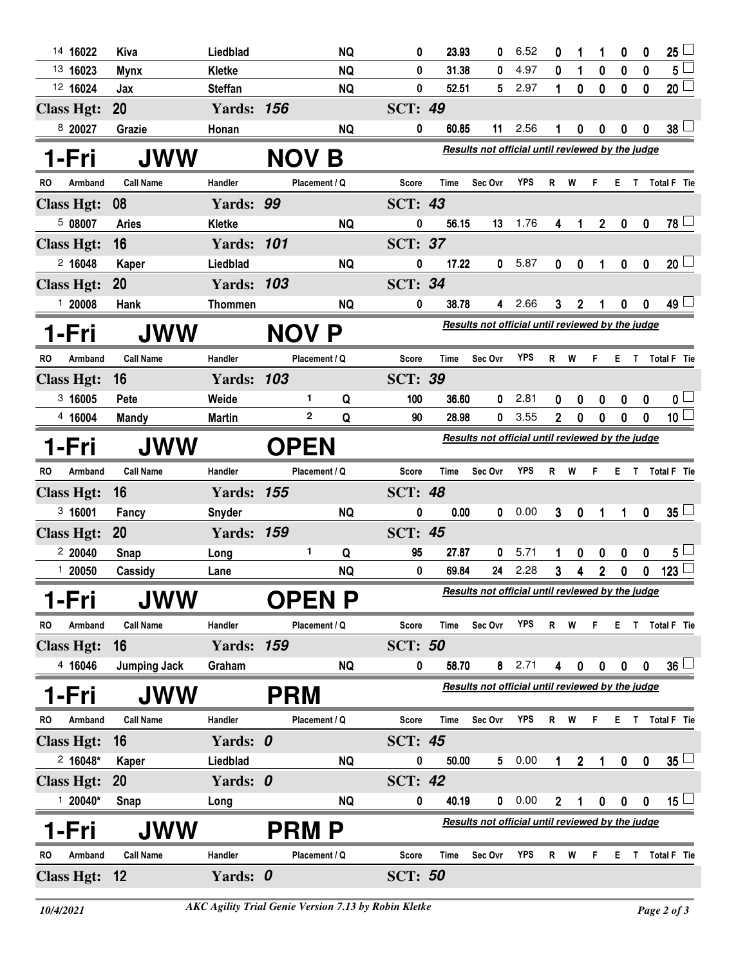| 14 16022             | Kiva                | Liedblad          |              | <b>NQ</b>     | 0              | 23.93       | 0                                                | 6.52       | 0              |                  | 1              | 0                | 0                | 25 <sup>1</sup>   |
|----------------------|---------------------|-------------------|--------------|---------------|----------------|-------------|--------------------------------------------------|------------|----------------|------------------|----------------|------------------|------------------|-------------------|
| 13 16023             | <b>Mynx</b>         | Kletke            |              | <b>NQ</b>     | 0              | 31.38       | 0                                                | 4.97       | 0              | 1                | $\pmb{0}$      | $\mathbf 0$      | $\mathbf 0$      | $5^{\frac{1}{2}}$ |
| 12 16024             | Jax                 | <b>Steffan</b>    |              | <b>NQ</b>     | 0              | 52.51       | 5                                                | 2.97       | $\mathbf{1}$   | $\mathbf 0$      | $\mathbf 0$    | $\mathbf 0$      | $\pmb{0}$        | $20\perp$         |
| <b>Class Hgt:</b>    | 20                  | <b>Yards: 156</b> |              |               | <b>SCT: 49</b> |             |                                                  |            |                |                  |                |                  |                  |                   |
| 8 20027              | Grazie              | Honan             |              | <b>NQ</b>     | 0              | 60.85       | 11                                               | 2.56       |                | 0                | 0              | 0                | 0                | 38 <sup>1</sup>   |
| 1-Fri                | <b>JWW</b>          |                   | <b>NOV B</b> |               |                |             | Results not official until reviewed by the judge |            |                |                  |                |                  |                  |                   |
| <b>RO</b><br>Armband | <b>Call Name</b>    | Handler           |              | Placement / Q | <b>Score</b>   | <b>Time</b> | Sec Ovr                                          | <b>YPS</b> | R              | W                | F              | Е                |                  | T Total F Tie     |
| <b>Class Hgt:</b>    | 08                  | Yards: 99         |              |               | <b>SCT: 43</b> |             |                                                  |            |                |                  |                |                  |                  |                   |
| 5 08007              | <b>Aries</b>        | <b>Kletke</b>     |              | <b>NQ</b>     | 0              | 56.15       | 13                                               | 1.76       | 4              | 1                | $\overline{2}$ | $\mathbf 0$      | $\mathbf 0$      | $78$ $\Box$       |
| <b>Class Hgt:</b>    | 16                  | <b>Yards: 101</b> |              |               | <b>SCT: 37</b> |             |                                                  |            |                |                  |                |                  |                  |                   |
| 2,16048              | Kaper               | Liedblad          |              | <b>NQ</b>     | 0              | 17.22       | 0                                                | 5.87       | $\mathbf 0$    | $\mathbf 0$      | 1              | $\pmb{0}$        | $\mathbf 0$      | $20$ $\Box$       |
| <b>Class Hgt:</b>    | <b>20</b>           | <b>Yards: 103</b> |              |               | <b>SCT: 34</b> |             |                                                  |            |                |                  |                |                  |                  |                   |
| 1 20008              | Hank                | <b>Thommen</b>    |              | <b>NQ</b>     | 0              | 38.78       | 4                                                | 2.66       | 3              | $\boldsymbol{2}$ |                | $\mathbf{0}$     | 0                | 49 L              |
| 1-Fri                | <b>JWW</b>          |                   | <b>NOV P</b> |               |                |             | Results not official until reviewed by the judge |            |                |                  |                |                  |                  |                   |
| Armband<br>RO        | <b>Call Name</b>    | Handler           |              | Placement / Q | <b>Score</b>   | <b>Time</b> | Sec Ovr                                          | <b>YPS</b> | R              | W                | F              |                  |                  | E T Total F Tie   |
| <b>Class Hgt:</b>    | 16                  | <b>Yards: 103</b> |              |               | <b>SCT: 39</b> |             |                                                  |            |                |                  |                |                  |                  |                   |
| 3,16005              | Pete                | Weide             | 1            | Q             | 100            | 36.60       | 0                                                | 2.81       | 0              | 0                | 0              | 0                | 0                | 0 <sup>L</sup>    |
| 4 16004              | <b>Mandy</b>        | <b>Martin</b>     | $\mathbf{2}$ | Q             | 90             | 28.98       | 0                                                | 3.55       | $\overline{2}$ | $\mathbf{0}$     | 0              | 0                | 0                | 10 <sup>L</sup>   |
| 1-Fri                | <b>JWW</b>          |                   | <b>OPEN</b>  |               |                |             | Results not official until reviewed by the judge |            |                |                  |                |                  |                  |                   |
|                      |                     |                   |              |               |                |             |                                                  |            | R              | W                | F.             |                  |                  |                   |
| RO<br>Armband        | <b>Call Name</b>    | Handler           |              | Placement / Q | <b>Score</b>   | <b>Time</b> | Sec Ovr                                          | <b>YPS</b> |                |                  |                |                  |                  | E T Total F Tie   |
| <b>Class Hgt:</b>    | 16                  | <b>Yards: 155</b> |              |               | <b>SCT: 48</b> |             |                                                  |            |                |                  |                |                  |                  |                   |
| 3,16001              | Fancy               | Snyder            |              | <b>NQ</b>     | 0              | 0.00        | 0                                                | 0.00       | 3 <sup>1</sup> | $\mathbf 0$      | $\mathbf 1$    | 1                | $\mathbf 0$      | $35 \Box$         |
| <b>Class Hgt:</b>    | <b>20</b>           | <b>Yards: 159</b> |              |               | <b>SCT: 45</b> |             |                                                  |            |                |                  |                |                  |                  |                   |
| 220040               | Snap                | Long              | 1.           | Q             | 95             | 27.87       | 0                                                | 5.71       | 1              | 0                | 0              | 0                | 0                | $5\perp$          |
| 120050               | Cassidy             | Lane              |              | <b>NQ</b>     | 0              | 69.84       | 24                                               | 2.28       | $\mathbf{3}$   | 4                | $\overline{2}$ | 0                | 0                | 123               |
| -Fri                 | <b>JWW</b>          |                   |              | <b>OPEN P</b> |                |             | Results not official until reviewed by the judge |            |                |                  |                |                  |                  |                   |
| Armband<br>RO        | <b>Call Name</b>    | Handler           |              | Placement / Q | <b>Score</b>   | Time        | Sec Ovr                                          | YPS        | $\mathsf{R}$   | W                | F              |                  |                  | E T Total F Tie   |
| <b>Class Hgt:</b>    | 16                  | <b>Yards: 159</b> |              |               | <b>SCT: 50</b> |             |                                                  |            |                |                  |                |                  |                  |                   |
| 4 16046              | <b>Jumping Jack</b> | Graham            |              | <b>NQ</b>     | 0              | 58.70       |                                                  | $8$ 2.71   | 4              | $\boldsymbol{0}$ | $\mathbf 0$    | $\mathbf 0$      | 0                | $36\lceil$        |
| -Fri                 | <b>JWW</b>          |                   | <b>PRM</b>   |               |                |             | Results not official until reviewed by the judge |            |                |                  |                |                  |                  |                   |
| Armband<br>RO        | <b>Call Name</b>    | Handler           |              | Placement / Q | <b>Score</b>   | Time        | Sec Ovr                                          | <b>YPS</b> | $\mathsf{R}$   | W                | F              |                  |                  | E T Total F Tie   |
| <b>Class Hgt:</b>    | 16                  | Yards: 0          |              |               | <b>SCT: 45</b> |             |                                                  |            |                |                  |                |                  |                  |                   |
| $2 16048*$           | Kaper               | Liedblad          |              | <b>NQ</b>     | 0              | 50.00       | 5 <sub>1</sub>                                   | 0.00       | 1              | $\overline{2}$   | 1              | 0                | $\boldsymbol{0}$ | $35 \Box$         |
| <b>Class Hgt:</b>    | <b>20</b>           | Yards: 0          |              |               | <b>SCT: 42</b> |             |                                                  |            |                |                  |                |                  |                  |                   |
| $120040*$            | Snap                | Long              |              | <b>NQ</b>     | 0              | 40.19       | 0                                                | 0.00       | $\overline{2}$ | 1                | 0              | $\boldsymbol{0}$ | $\boldsymbol{0}$ | $15\perp$         |
| l-Fri                | JWW                 |                   | <b>PRM P</b> |               |                |             | Results not official until reviewed by the judge |            |                |                  |                |                  |                  |                   |
| Armband<br>RO        | <b>Call Name</b>    | Handler           |              | Placement / Q | <b>Score</b>   | Time        | Sec Ovr                                          | <b>YPS</b> | $\mathsf{R}$   | W                | F              |                  |                  | E T Total F Tie   |